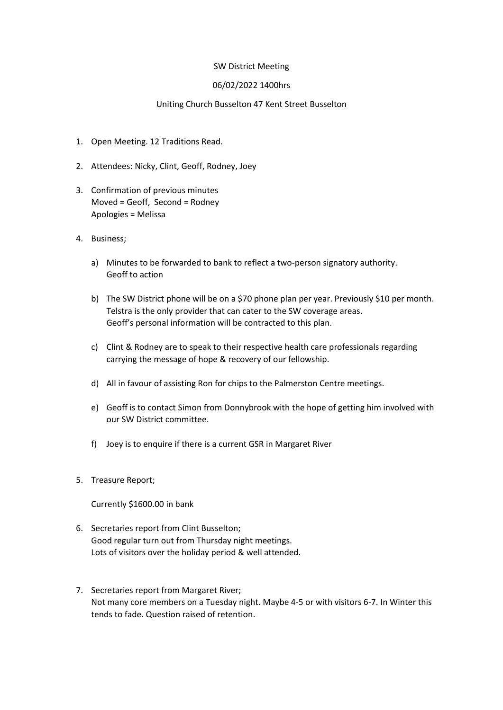## SW District Meeting

## 06/02/2022 1400hrs

## Uniting Church Busselton 47 Kent Street Busselton

- 1. Open Meeting. 12 Traditions Read.
- 2. Attendees: Nicky, Clint, Geoff, Rodney, Joey
- 3. Confirmation of previous minutes Moved = Geoff, Second = Rodney Apologies = Melissa
- 4. Business;
	- a) Minutes to be forwarded to bank to reflect a two-person signatory authority. Geoff to action
	- b) The SW District phone will be on a \$70 phone plan per year. Previously \$10 per month. Telstra is the only provider that can cater to the SW coverage areas. Geoff's personal information will be contracted to this plan.
	- c) Clint & Rodney are to speak to their respective health care professionals regarding carrying the message of hope & recovery of our fellowship.
	- d) All in favour of assisting Ron for chips to the Palmerston Centre meetings.
	- e) Geoff is to contact Simon from Donnybrook with the hope of getting him involved with our SW District committee.
	- f) Joey is to enquire if there is a current GSR in Margaret River
- 5. Treasure Report;

Currently \$1600.00 in bank

- 6. Secretaries report from Clint Busselton; Good regular turn out from Thursday night meetings. Lots of visitors over the holiday period & well attended.
- 7. Secretaries report from Margaret River; Not many core members on a Tuesday night. Maybe 4-5 or with visitors 6-7. In Winter this tends to fade. Question raised of retention.